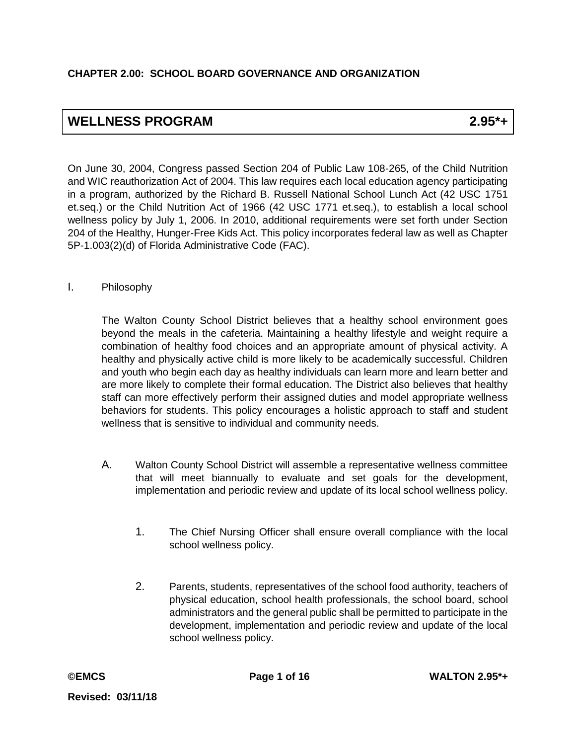# **WELLNESS PROGRAM 2.95\*+**

On June 30, 2004, Congress passed Section 204 of Public Law 108-265, of the Child Nutrition and WIC reauthorization Act of 2004. This law requires each local education agency participating in a program, authorized by the Richard B. Russell National School Lunch Act (42 USC 1751 et.seq.) or the Child Nutrition Act of 1966 (42 USC 1771 et.seq.), to establish a local school wellness policy by July 1, 2006. In 2010, additional requirements were set forth under Section 204 of the Healthy, Hunger-Free Kids Act. This policy incorporates federal law as well as Chapter 5P-1.003(2)(d) of Florida Administrative Code (FAC).

### I. Philosophy

The Walton County School District believes that a healthy school environment goes beyond the meals in the cafeteria. Maintaining a healthy lifestyle and weight require a combination of healthy food choices and an appropriate amount of physical activity. A healthy and physically active child is more likely to be academically successful. Children and youth who begin each day as healthy individuals can learn more and learn better and are more likely to complete their formal education. The District also believes that healthy staff can more effectively perform their assigned duties and model appropriate wellness behaviors for students. This policy encourages a holistic approach to staff and student wellness that is sensitive to individual and community needs.

- A. Walton County School District will assemble a representative wellness committee that will meet biannually to evaluate and set goals for the development, implementation and periodic review and update of its local school wellness policy.
	- 1. The Chief Nursing Officer shall ensure overall compliance with the local school wellness policy.
	- 2. Parents, students, representatives of the school food authority, teachers of physical education, school health professionals, the school board, school administrators and the general public shall be permitted to participate in the development, implementation and periodic review and update of the local school wellness policy.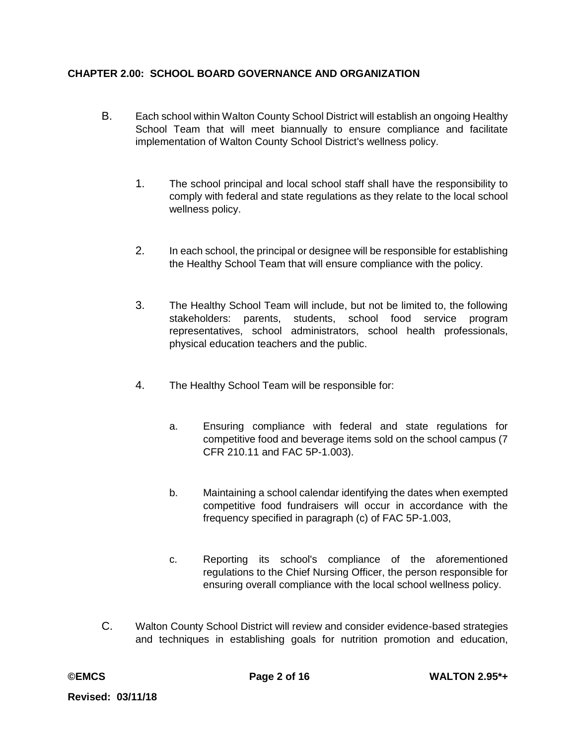- B. Each school within Walton County School District will establish an ongoing Healthy School Team that will meet biannually to ensure compliance and facilitate implementation of Walton County School District's wellness policy.
	- 1. The school principal and local school staff shall have the responsibility to comply with federal and state regulations as they relate to the local school wellness policy.
	- 2. In each school, the principal or designee will be responsible for establishing the Healthy School Team that will ensure compliance with the policy.
	- 3. The Healthy School Team will include, but not be limited to, the following stakeholders: parents, students, school food service program representatives, school administrators, school health professionals, physical education teachers and the public.
	- 4. The Healthy School Team will be responsible for:
		- a. Ensuring compliance with federal and state regulations for competitive food and beverage items sold on the school campus (7 CFR 210.11 and FAC 5P-1.003).
		- b. Maintaining a school calendar identifying the dates when exempted competitive food fundraisers will occur in accordance with the frequency specified in paragraph (c) of FAC 5P-1.003,
		- c. Reporting its school's compliance of the aforementioned regulations to the Chief Nursing Officer, the person responsible for ensuring overall compliance with the local school wellness policy.
- C. Walton County School District will review and consider evidence-based strategies and techniques in establishing goals for nutrition promotion and education,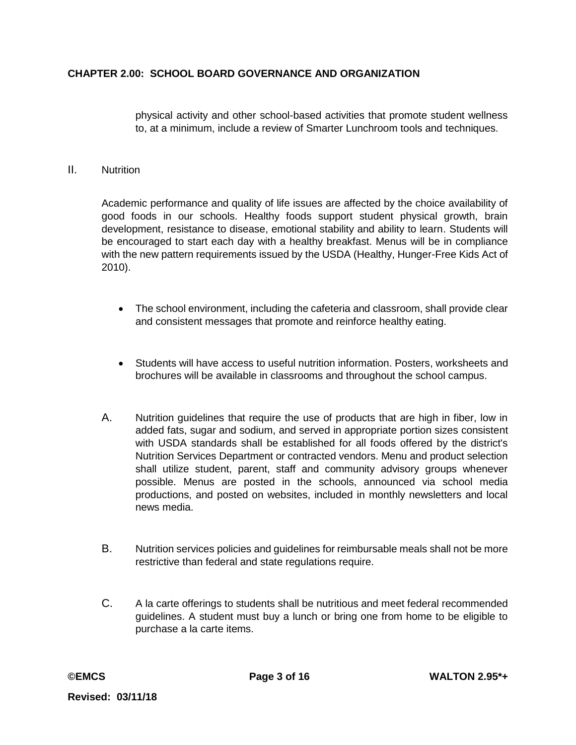physical activity and other school-based activities that promote student wellness to, at a minimum, include a review of Smarter Lunchroom tools and techniques.

### II. Nutrition

Academic performance and quality of life issues are affected by the choice availability of good foods in our schools. Healthy foods support student physical growth, brain development, resistance to disease, emotional stability and ability to learn. Students will be encouraged to start each day with a healthy breakfast. Menus will be in compliance with the new pattern requirements issued by the USDA (Healthy, Hunger-Free Kids Act of 2010).

- The school environment, including the cafeteria and classroom, shall provide clear and consistent messages that promote and reinforce healthy eating.
- Students will have access to useful nutrition information. Posters, worksheets and brochures will be available in classrooms and throughout the school campus.
- A. Nutrition guidelines that require the use of products that are high in fiber, low in added fats, sugar and sodium, and served in appropriate portion sizes consistent with USDA standards shall be established for all foods offered by the district's Nutrition Services Department or contracted vendors. Menu and product selection shall utilize student, parent, staff and community advisory groups whenever possible. Menus are posted in the schools, announced via school media productions, and posted on websites, included in monthly newsletters and local news media.
- B. Nutrition services policies and guidelines for reimbursable meals shall not be more restrictive than federal and state regulations require.
- C. A la carte offerings to students shall be nutritious and meet federal recommended guidelines. A student must buy a lunch or bring one from home to be eligible to purchase a la carte items.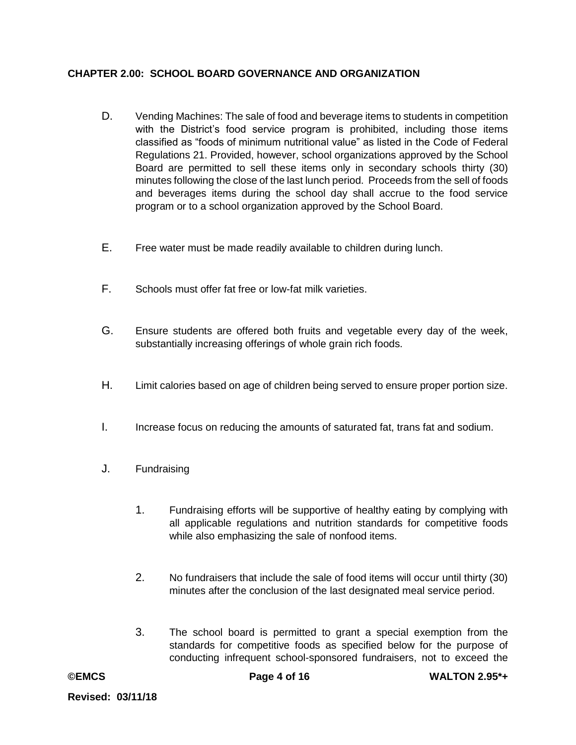- D. Vending Machines: The sale of food and beverage items to students in competition with the District's food service program is prohibited, including those items classified as "foods of minimum nutritional value" as listed in the Code of Federal Regulations 21. Provided, however, school organizations approved by the School Board are permitted to sell these items only in secondary schools thirty (30) minutes following the close of the last lunch period. Proceeds from the sell of foods and beverages items during the school day shall accrue to the food service program or to a school organization approved by the School Board.
- E. Free water must be made readily available to children during lunch.
- F. Schools must offer fat free or low-fat milk varieties.
- G. Ensure students are offered both fruits and vegetable every day of the week, substantially increasing offerings of whole grain rich foods.
- H. Limit calories based on age of children being served to ensure proper portion size.
- I. Increase focus on reducing the amounts of saturated fat, trans fat and sodium.
- J. Fundraising
	- 1. Fundraising efforts will be supportive of healthy eating by complying with all applicable regulations and nutrition standards for competitive foods while also emphasizing the sale of nonfood items.
	- 2. No fundraisers that include the sale of food items will occur until thirty (30) minutes after the conclusion of the last designated meal service period.
	- 3. The school board is permitted to grant a special exemption from the standards for competitive foods as specified below for the purpose of conducting infrequent school-sponsored fundraisers, not to exceed the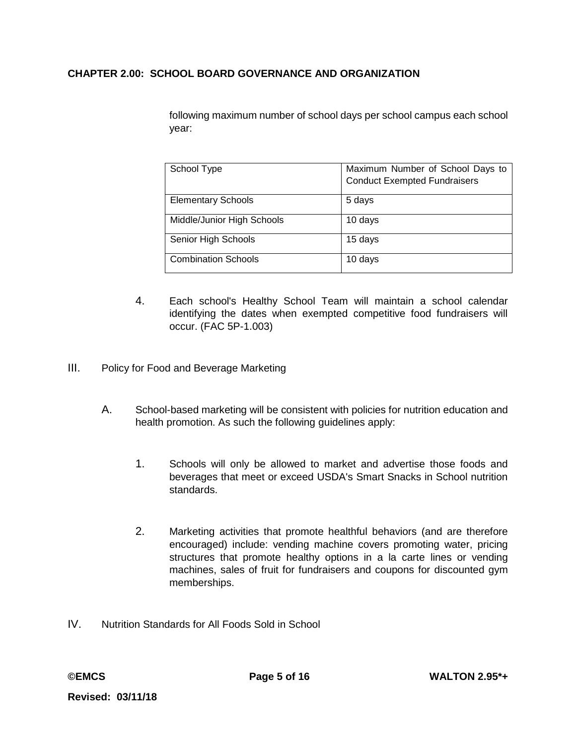following maximum number of school days per school campus each school year:

| School Type                | Maximum Number of School Days to<br><b>Conduct Exempted Fundraisers</b> |
|----------------------------|-------------------------------------------------------------------------|
| <b>Elementary Schools</b>  | 5 days                                                                  |
| Middle/Junior High Schools | 10 days                                                                 |
| Senior High Schools        | 15 days                                                                 |
| <b>Combination Schools</b> | 10 days                                                                 |

- 4. Each school's Healthy School Team will maintain a school calendar identifying the dates when exempted competitive food fundraisers will occur. (FAC 5P-1.003)
- III. Policy for Food and Beverage Marketing
	- A. School-based marketing will be consistent with policies for nutrition education and health promotion. As such the following guidelines apply:
		- 1. Schools will only be allowed to market and advertise those foods and beverages that meet or exceed USDA's Smart Snacks in School nutrition standards.
		- 2. Marketing activities that promote healthful behaviors (and are therefore encouraged) include: vending machine covers promoting water, pricing structures that promote healthy options in a la carte lines or vending machines, sales of fruit for fundraisers and coupons for discounted gym memberships.
- IV. Nutrition Standards for All Foods Sold in School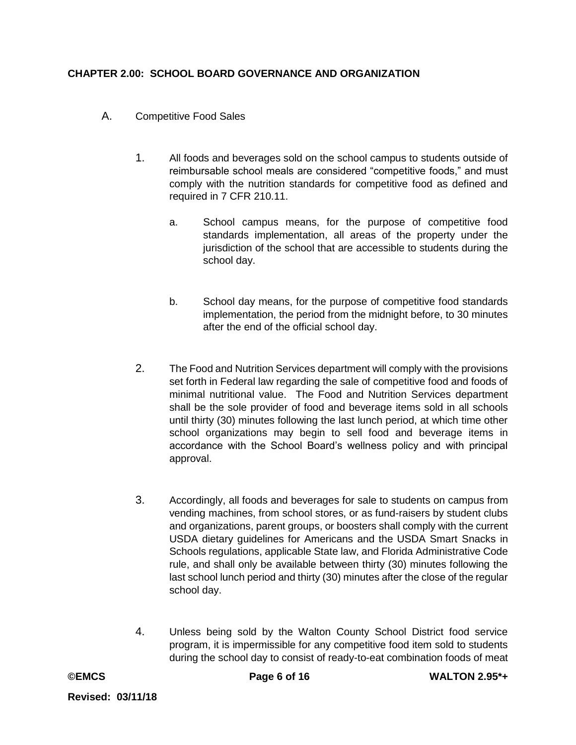- A. Competitive Food Sales
	- 1. All foods and beverages sold on the school campus to students outside of reimbursable school meals are considered "competitive foods," and must comply with the nutrition standards for competitive food as defined and required in 7 CFR 210.11.
		- a. School campus means, for the purpose of competitive food standards implementation, all areas of the property under the jurisdiction of the school that are accessible to students during the school day.
		- b. School day means, for the purpose of competitive food standards implementation, the period from the midnight before, to 30 minutes after the end of the official school day.
	- 2. The Food and Nutrition Services department will comply with the provisions set forth in Federal law regarding the sale of competitive food and foods of minimal nutritional value. The Food and Nutrition Services department shall be the sole provider of food and beverage items sold in all schools until thirty (30) minutes following the last lunch period, at which time other school organizations may begin to sell food and beverage items in accordance with the School Board's wellness policy and with principal approval.
	- 3. Accordingly, all foods and beverages for sale to students on campus from vending machines, from school stores, or as fund-raisers by student clubs and organizations, parent groups, or boosters shall comply with the current USDA dietary guidelines for Americans and the USDA Smart Snacks in Schools regulations, applicable State law, and Florida Administrative Code rule, and shall only be available between thirty (30) minutes following the last school lunch period and thirty (30) minutes after the close of the regular school day.
	- 4. Unless being sold by the Walton County School District food service program, it is impermissible for any competitive food item sold to students during the school day to consist of ready-to-eat combination foods of meat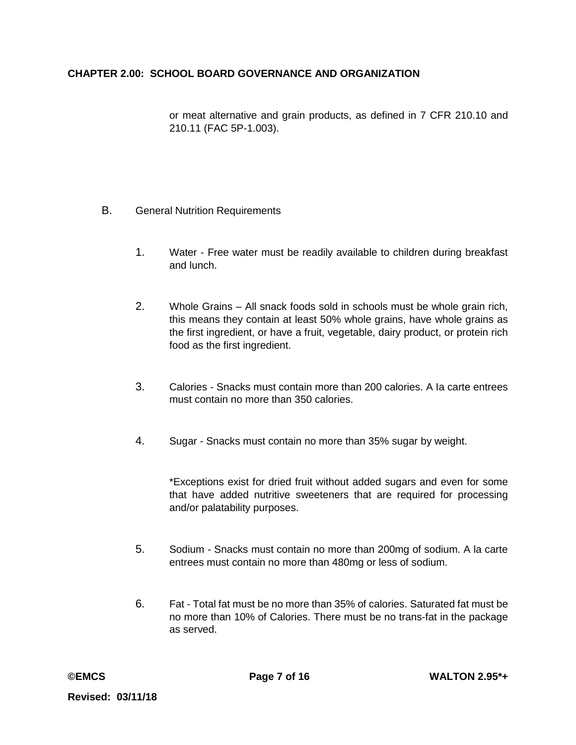or meat alternative and grain products, as defined in 7 CFR 210.10 and 210.11 (FAC 5P-1.003).

### B. General Nutrition Requirements

- 1. Water Free water must be readily available to children during breakfast and lunch.
- 2. Whole Grains All snack foods sold in schools must be whole grain rich, this means they contain at least 50% whole grains, have whole grains as the first ingredient, or have a fruit, vegetable, dairy product, or protein rich food as the first ingredient.
- 3. Calories Snacks must contain more than 200 calories. A Ia carte entrees must contain no more than 350 calories.
- 4. Sugar Snacks must contain no more than 35% sugar by weight.

\*Exceptions exist for dried fruit without added sugars and even for some that have added nutritive sweeteners that are required for processing and/or palatability purposes.

- 5. Sodium Snacks must contain no more than 200mg of sodium. A la carte entrees must contain no more than 480mg or less of sodium.
- 6. Fat Total fat must be no more than 35% of calories. Saturated fat must be no more than 10% of Calories. There must be no trans-fat in the package as served.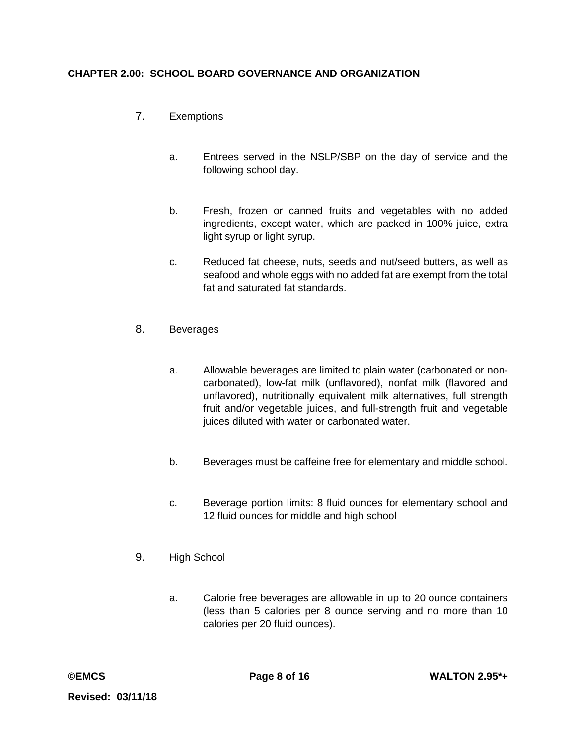- 7. Exemptions
	- a. Entrees served in the NSLP/SBP on the day of service and the following school day.
	- b. Fresh, frozen or canned fruits and vegetables with no added ingredients, except water, which are packed in 100% juice, extra light syrup or light syrup.
	- c. Reduced fat cheese, nuts, seeds and nut/seed butters, as well as seafood and whole eggs with no added fat are exempt from the total fat and saturated fat standards.
- 8. Beverages
	- a. Allowable beverages are limited to plain water (carbonated or noncarbonated), low-fat milk (unflavored), nonfat milk (flavored and unflavored), nutritionally equivalent milk alternatives, full strength fruit and/or vegetable juices, and full-strength fruit and vegetable juices diluted with water or carbonated water.
	- b. Beverages must be caffeine free for elementary and middle school.
	- c. Beverage portion Iimits: 8 fluid ounces for elementary school and 12 fluid ounces for middle and high school
- 9. High School
	- a. Calorie free beverages are allowable in up to 20 ounce containers (less than 5 calories per 8 ounce serving and no more than 10 calories per 20 fluid ounces).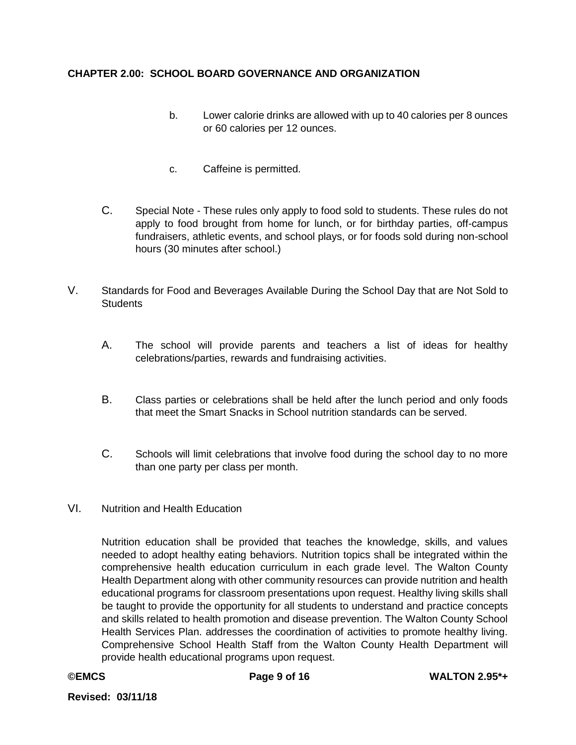- b. Lower calorie drinks are allowed with up to 40 calories per 8 ounces or 60 calories per 12 ounces.
- c. Caffeine is permitted.
- C. Special Note These rules only apply to food sold to students. These rules do not apply to food brought from home for lunch, or for birthday parties, off-campus fundraisers, athletic events, and school plays, or for foods sold during non-school hours (30 minutes after school.)
- V. Standards for Food and Beverages Available During the School Day that are Not Sold to **Students** 
	- A. The school will provide parents and teachers a list of ideas for healthy celebrations/parties, rewards and fundraising activities.
	- B. Class parties or celebrations shall be held after the lunch period and only foods that meet the Smart Snacks in School nutrition standards can be served.
	- C. Schools will limit celebrations that involve food during the school day to no more than one party per class per month.
- VI. Nutrition and Health Education

Nutrition education shall be provided that teaches the knowledge, skills, and values needed to adopt healthy eating behaviors. Nutrition topics shall be integrated within the comprehensive health education curriculum in each grade level. The Walton County Health Department along with other community resources can provide nutrition and health educational programs for classroom presentations upon request. Healthy living skills shall be taught to provide the opportunity for all students to understand and practice concepts and skills related to health promotion and disease prevention. The Walton County School Health Services Plan. addresses the coordination of activities to promote healthy living. Comprehensive School Health Staff from the Walton County Health Department will provide health educational programs upon request.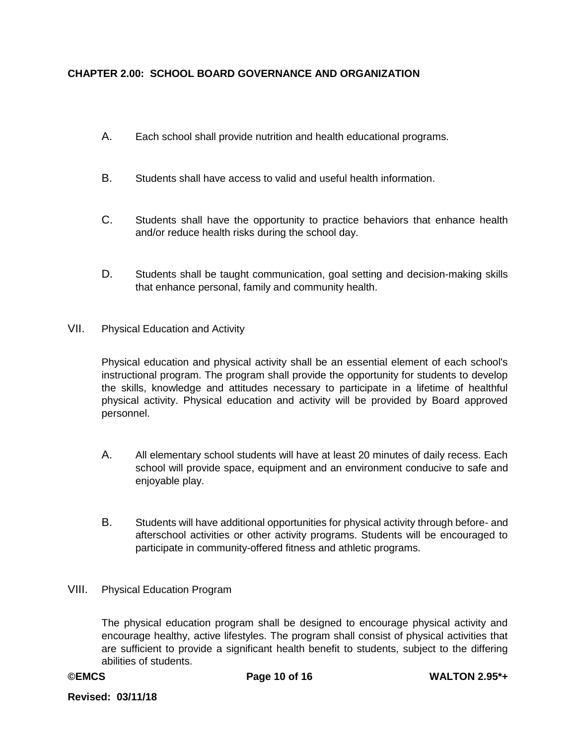- A. Each school shall provide nutrition and health educational programs.
- B. Students shall have access to valid and useful health information.
- C. Students shall have the opportunity to practice behaviors that enhance health and/or reduce health risks during the school day.
- D. Students shall be taught communication, goal setting and decision-making skills that enhance personal, family and community health.
- VII. Physical Education and Activity

Physical education and physical activity shall be an essential element of each school's instructional program. The program shall provide the opportunity for students to develop the skills, knowledge and attitudes necessary to participate in a lifetime of healthful physical activity. Physical education and activity will be provided by Board approved personnel.

- A. All elementary school students will have at least 20 minutes of daily recess. Each school will provide space, equipment and an environment conducive to safe and enjoyable play.
- B. Students will have additional opportunities for physical activity through before- and afterschool activities or other activity programs. Students will be encouraged to participate in community-offered fitness and athletic programs.
- VIII. Physical Education Program

The physical education program shall be designed to encourage physical activity and encourage healthy, active lifestyles. The program shall consist of physical activities that are sufficient to provide a significant health benefit to students, subject to the differing abilities of students.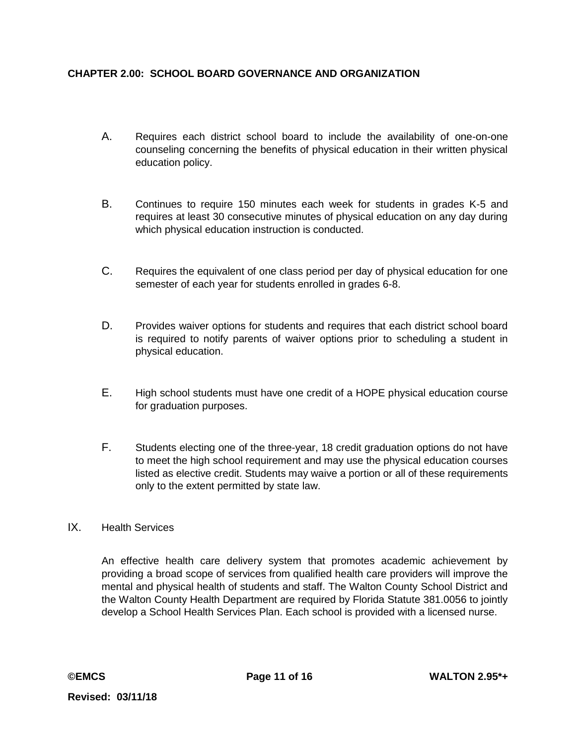- A. Requires each district school board to include the availability of one-on-one counseling concerning the benefits of physical education in their written physical education policy.
- B. Continues to require 150 minutes each week for students in grades K-5 and requires at least 30 consecutive minutes of physical education on any day during which physical education instruction is conducted.
- C. Requires the equivalent of one class period per day of physical education for one semester of each year for students enrolled in grades 6-8.
- D. Provides waiver options for students and requires that each district school board is required to notify parents of waiver options prior to scheduling a student in physical education.
- E. High school students must have one credit of a HOPE physical education course for graduation purposes.
- F. Students electing one of the three-year, 18 credit graduation options do not have to meet the high school requirement and may use the physical education courses listed as elective credit. Students may waive a portion or all of these requirements only to the extent permitted by state law.

## IX. Health Services

An effective health care delivery system that promotes academic achievement by providing a broad scope of services from qualified health care providers will improve the mental and physical health of students and staff. The Walton County School District and the Walton County Health Department are required by Florida Statute 381.0056 to jointly develop a School Health Services Plan. Each school is provided with a licensed nurse.

**Revised: 03/11/18**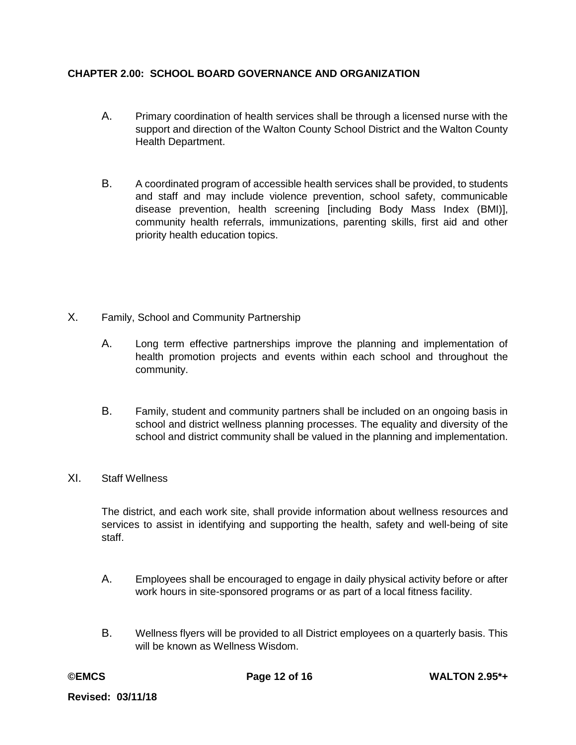- A. Primary coordination of health services shall be through a licensed nurse with the support and direction of the Walton County School District and the Walton County Health Department.
- B. A coordinated program of accessible health services shall be provided, to students and staff and may include violence prevention, school safety, communicable disease prevention, health screening [including Body Mass Index (BMI)], community health referrals, immunizations, parenting skills, first aid and other priority health education topics.
- X. Family, School and Community Partnership
	- A. Long term effective partnerships improve the planning and implementation of health promotion projects and events within each school and throughout the community.
	- B. Family, student and community partners shall be included on an ongoing basis in school and district wellness planning processes. The equality and diversity of the school and district community shall be valued in the planning and implementation.
- XI. Staff Wellness

The district, and each work site, shall provide information about wellness resources and services to assist in identifying and supporting the health, safety and well-being of site staff.

- A. Employees shall be encouraged to engage in daily physical activity before or after work hours in site-sponsored programs or as part of a local fitness facility.
- B. Wellness flyers will be provided to all District employees on a quarterly basis. This will be known as Wellness Wisdom.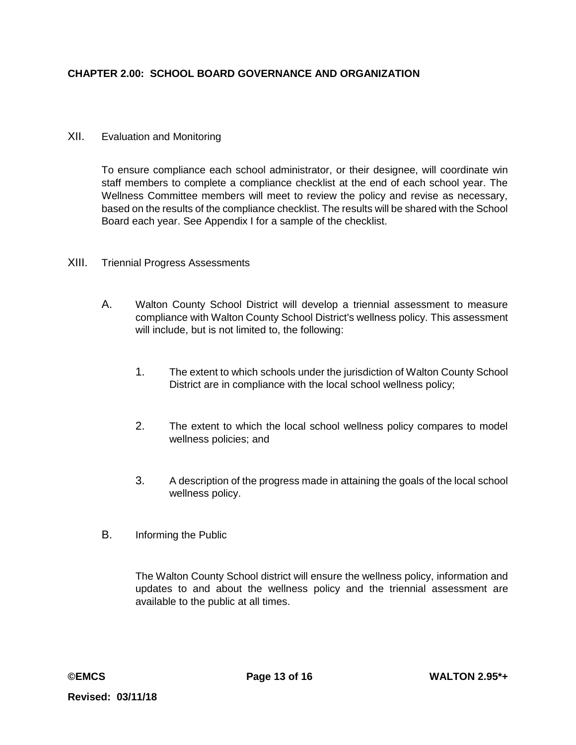### XII. Evaluation and Monitoring

To ensure compliance each school administrator, or their designee, will coordinate win staff members to complete a compliance checklist at the end of each school year. The Wellness Committee members will meet to review the policy and revise as necessary, based on the results of the compliance checklist. The results will be shared with the School Board each year. See Appendix I for a sample of the checklist.

### XIII. Triennial Progress Assessments

- A. Walton County School District will develop a triennial assessment to measure compliance with Walton County School District's wellness policy. This assessment will include, but is not limited to, the following:
	- 1. The extent to which schools under the jurisdiction of Walton County School District are in compliance with the local school wellness policy;
	- 2. The extent to which the local school wellness policy compares to model wellness policies; and
	- 3. A description of the progress made in attaining the goals of the local school wellness policy.
- B. Informing the Public

The Walton County School district will ensure the wellness policy, information and updates to and about the wellness policy and the triennial assessment are available to the public at all times.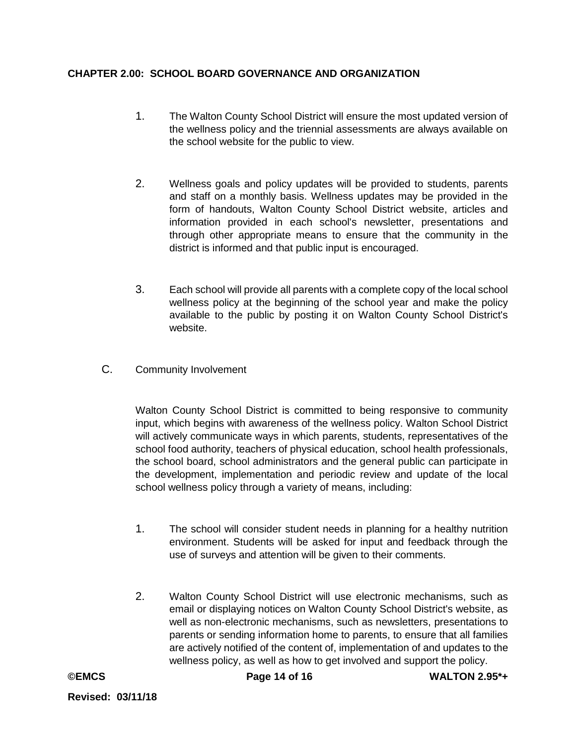- 1. The Walton County School District will ensure the most updated version of the wellness policy and the triennial assessments are always available on the school website for the public to view.
- 2. Wellness goals and policy updates will be provided to students, parents and staff on a monthly basis. Wellness updates may be provided in the form of handouts, Walton County School District website, articles and information provided in each school's newsletter, presentations and through other appropriate means to ensure that the community in the district is informed and that public input is encouraged.
- 3. Each school will provide all parents with a complete copy of the local school wellness policy at the beginning of the school year and make the policy available to the public by posting it on Walton County School District's website.
- C. Community Involvement

Walton County School District is committed to being responsive to community input, which begins with awareness of the wellness policy. Walton School District will actively communicate ways in which parents, students, representatives of the school food authority, teachers of physical education, school health professionals, the school board, school administrators and the general public can participate in the development, implementation and periodic review and update of the local school wellness policy through a variety of means, including:

- 1. The school will consider student needs in planning for a healthy nutrition environment. Students will be asked for input and feedback through the use of surveys and attention will be given to their comments.
- 2. Walton County School District will use electronic mechanisms, such as email or displaying notices on Walton County School District's website, as well as non-electronic mechanisms, such as newsletters, presentations to parents or sending information home to parents, to ensure that all families are actively notified of the content of, implementation of and updates to the wellness policy, as well as how to get involved and support the policy.

**©EMCS Page 14 of 16 WALTON 2.95\*+**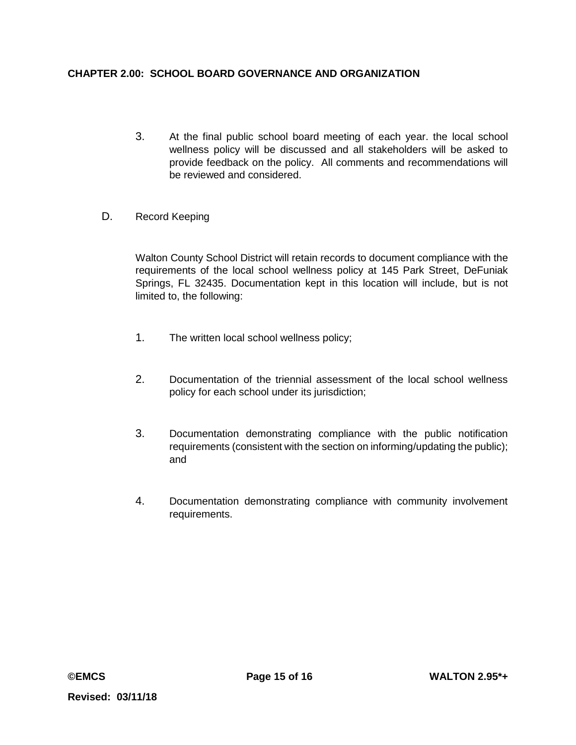- 3. At the final public school board meeting of each year. the local school wellness policy will be discussed and all stakeholders will be asked to provide feedback on the policy. All comments and recommendations will be reviewed and considered.
- D. Record Keeping

Walton County School District will retain records to document compliance with the requirements of the local school wellness policy at 145 Park Street, DeFuniak Springs, FL 32435. Documentation kept in this location will include, but is not limited to, the following:

- 1. The written local school wellness policy;
- 2. Documentation of the triennial assessment of the local school wellness policy for each school under its jurisdiction;
- 3. Documentation demonstrating compliance with the public notification requirements (consistent with the section on informing/updating the public); and
- 4. Documentation demonstrating compliance with community involvement requirements.